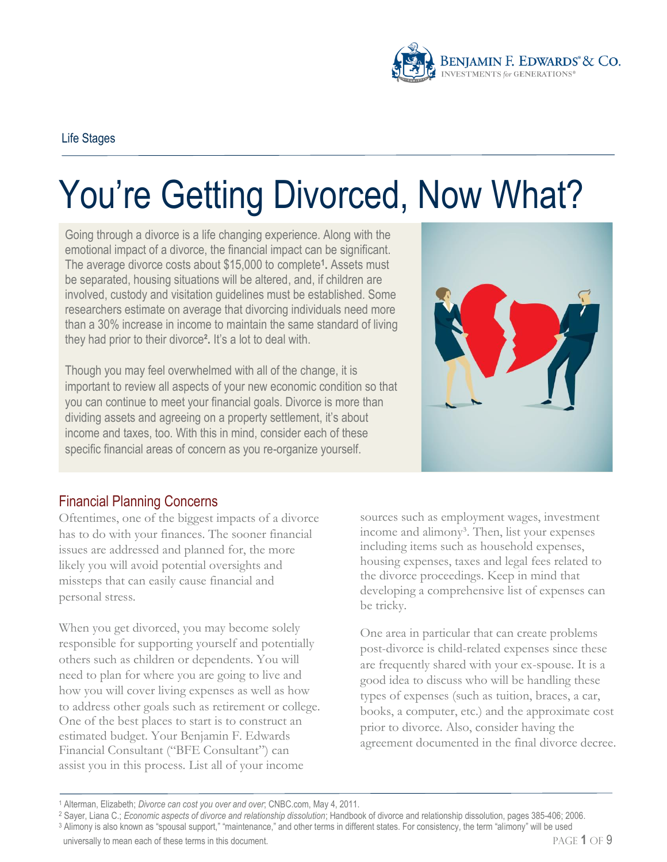

# You're Getting Divorced, Now What?

Going through a divorce is a life changing experience. Along with the emotional impact of a divorce, the financial impact can be significant. The average divorce costs about \$15,000 to complete**<sup>1</sup> .** Assets must be separated, housing situations will be altered, and, if children are involved, custody and visitation guidelines must be established. Some researchers estimate on average that divorcing individuals need more than a 30% increase in income to maintain the same standard of living they had prior to their divorce**².** It's a lot to deal with.

Though you may feel overwhelmed with all of the change, it is important to review all aspects of your new economic condition so that you can continue to meet your financial goals. Divorce is more than dividing assets and agreeing on a property settlement, it's about income and taxes, too. With this in mind, consider each of these specific financial areas of concern as you re-organize yourself.



## Financial Planning Concerns

Oftentimes, one of the biggest impacts of a divorce has to do with your finances. The sooner financial issues are addressed and planned for, the more likely you will avoid potential oversights and missteps that can easily cause financial and personal stress.

When you get divorced, you may become solely responsible for supporting yourself and potentially others such as children or dependents. You will need to plan for where you are going to live and how you will cover living expenses as well as how to address other goals such as retirement or college. One of the best places to start is to construct an estimated budget. Your Benjamin F. Edwards Financial Consultant ("BFE Consultant") can assist you in this process. List all of your income

sources such as employment wages, investment income and alimony<sup>3</sup>. Then, list your expenses including items such as household expenses, housing expenses, taxes and legal fees related to the divorce proceedings. Keep in mind that developing a comprehensive list of expenses can be tricky.

One area in particular that can create problems post-divorce is child-related expenses since these are frequently shared with your ex-spouse. It is a good idea to discuss who will be handling these types of expenses (such as tuition, braces, a car, books, a computer, etc.) and the approximate cost prior to divorce. Also, consider having the agreement documented in the final divorce decree.

<sup>1</sup> Alterman, Elizabeth; *Divorce can cost you over and over*; CNBC.com, May 4, 2011.

<sup>2</sup> Sayer, Liana C.; *Economic aspects of divorce and relationship dissolution*; Handbook of divorce and relationship dissolution, pages 385-406; 2006.

<sup>3</sup> Alimony is also known as "spousal support," "maintenance," and other terms in different states. For consistency, the term "alimony" will be used universally to mean each of these terms in this document. **PAGE 1 OF 9**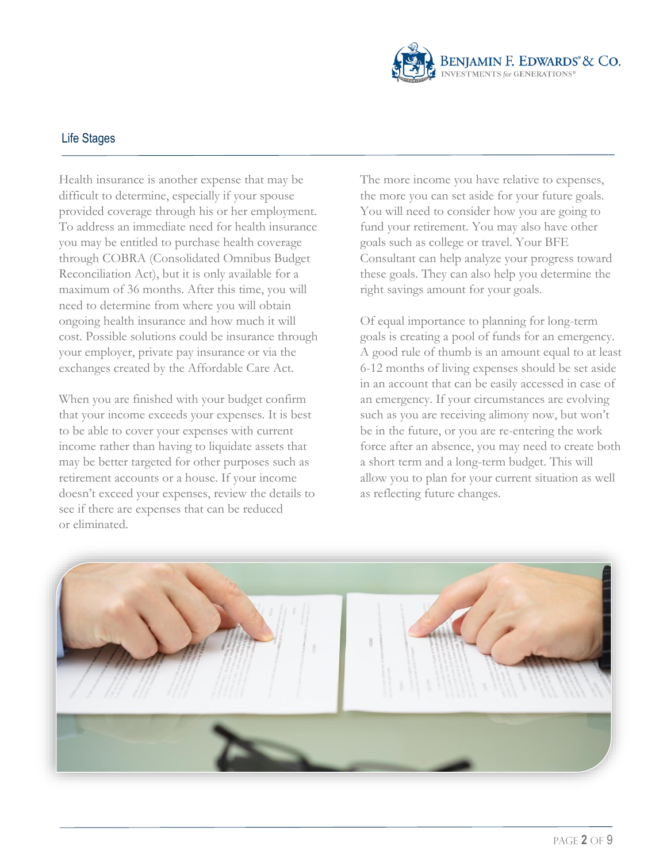

Health insurance is another expense that may be difficult to determine, especially if your spouse provided coverage through his or her employment. To address an immediate need for health insurance you may be entitled to purchase health coverage through COBRA (Consolidated Omnibus Budget Reconciliation Act), but it is only available for a maximum of 36 months. After this time, you will need to determine from where you will obtain ongoing health insurance and how much it will cost. Possible solutions could be insurance through your employer, private pay insurance or via the exchanges created by the Affordable Care Act.

When you are finished with your budget confirm that your income exceeds your expenses. It is best to be able to cover your expenses with current income rather than having to liquidate assets that may be better targeted for other purposes such as retirement accounts or a house. If your income doesn't exceed your expenses, review the details to see if there are expenses that can be reduced or eliminated.

The more income you have relative to expenses, the more you can set aside for your future goals. You will need to consider how you are going to fund your retirement. You may also have other goals such as college or travel. Your BFE Consultant can help analyze your progress toward these goals. They can also help you determine the right savings amount for your goals.

Of equal importance to planning for long-term goals is creating a pool of funds for an emergency. A good rule of thumb is an amount equal to at least 6-12 months of living expenses should be set aside in an account that can be easily accessed in case of an emergency. If your circumstances are evolving such as you are receiving alimony now, but won't be in the future, or you are re-entering the work force after an absence, you may need to create both a short term and a long-term budget. This will allow you to plan for your current situation as well as reflecting future changes.

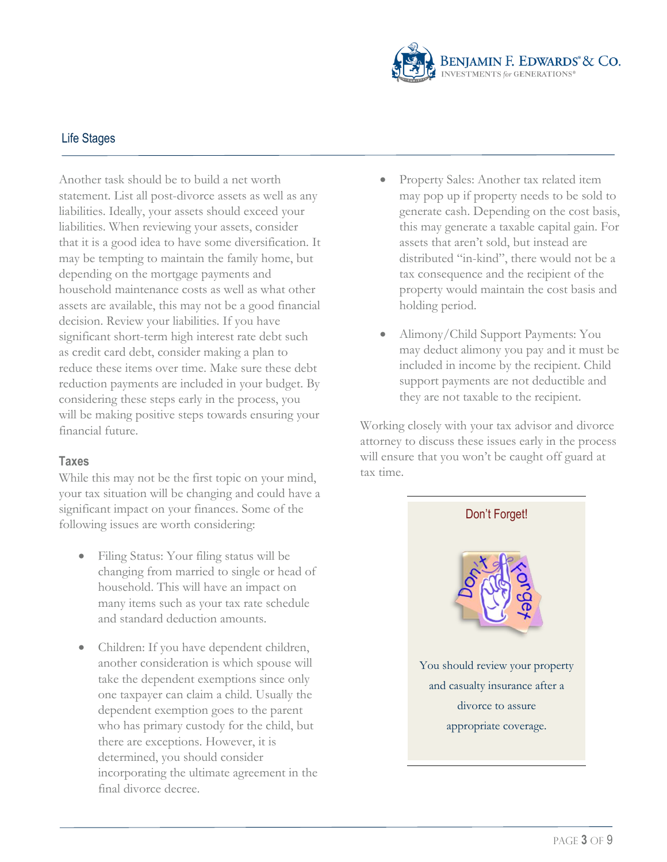

Another task should be to build a net worth statement. List all post-divorce assets as well as any liabilities. Ideally, your assets should exceed your liabilities. When reviewing your assets, consider that it is a good idea to have some diversification. It may be tempting to maintain the family home, but depending on the mortgage payments and household maintenance costs as well as what other assets are available, this may not be a good financial decision. Review your liabilities. If you have significant short-term high interest rate debt such as credit card debt, consider making a plan to reduce these items over time. Make sure these debt reduction payments are included in your budget. By considering these steps early in the process, you will be making positive steps towards ensuring your financial future.

#### **Taxes**

While this may not be the first topic on your mind, your tax situation will be changing and could have a significant impact on your finances. Some of the following issues are worth considering:

- Filing Status: Your filing status will be changing from married to single or head of household. This will have an impact on many items such as your tax rate schedule and standard deduction amounts.
- Children: If you have dependent children, another consideration is which spouse will take the dependent exemptions since only one taxpayer can claim a child. Usually the dependent exemption goes to the parent who has primary custody for the child, but there are exceptions. However, it is determined, you should consider incorporating the ultimate agreement in the final divorce decree.
- Property Sales: Another tax related item may pop up if property needs to be sold to generate cash. Depending on the cost basis, this may generate a taxable capital gain. For assets that aren't sold, but instead are distributed "in-kind", there would not be a tax consequence and the recipient of the property would maintain the cost basis and holding period.
- Alimony/Child Support Payments: You may deduct alimony you pay and it must be included in income by the recipient. Child support payments are not deductible and they are not taxable to the recipient.

Working closely with your tax advisor and divorce attorney to discuss these issues early in the process will ensure that you won't be caught off guard at tax time.

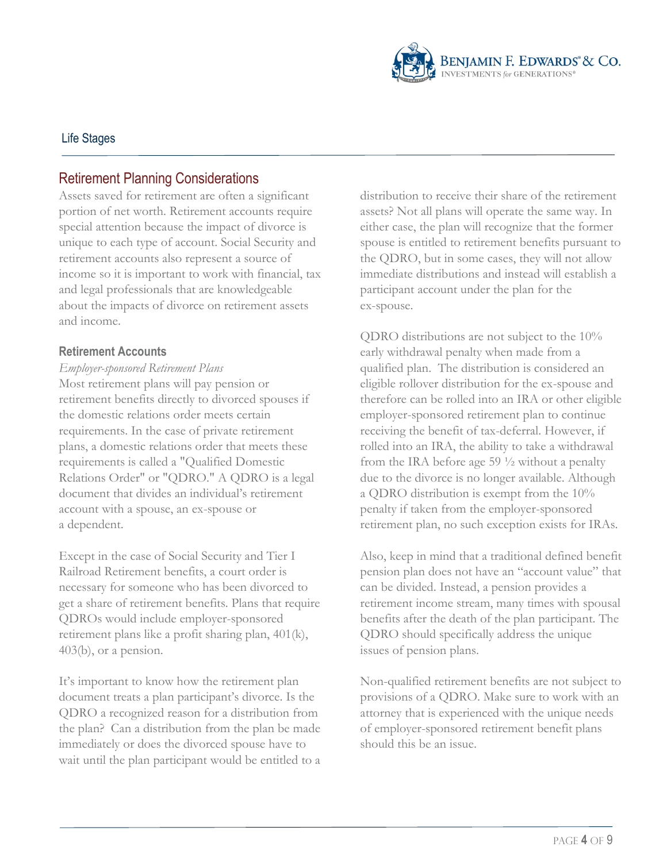

## Retirement Planning Considerations

Assets saved for retirement are often a significant portion of net worth. Retirement accounts require special attention because the impact of divorce is unique to each type of account. Social Security and retirement accounts also represent a source of income so it is important to work with financial, tax and legal professionals that are knowledgeable about the impacts of divorce on retirement assets and income.

#### **Retirement Accounts**

## *Employer-sponsored Retirement Plans* Most retirement plans will pay pension or retirement benefits directly to divorced spouses if the domestic relations order meets certain requirements. In the case of private retirement plans, a domestic relations order that meets these requirements is called a "Qualified Domestic Relations Order" or "QDRO." A QDRO is a legal document that divides an individual's retirement account with a spouse, an ex-spouse or a dependent.

Except in the case of Social Security and Tier I Railroad Retirement benefits, a court order is necessary for someone who has been divorced to get a share of retirement benefits. Plans that require QDROs would include employer-sponsored retirement plans like a profit sharing plan, 401(k), 403(b), or a pension.

It's important to know how the retirement plan document treats a plan participant's divorce. Is the QDRO a recognized reason for a distribution from the plan? Can a distribution from the plan be made immediately or does the divorced spouse have to wait until the plan participant would be entitled to a distribution to receive their share of the retirement assets? Not all plans will operate the same way. In either case, the plan will recognize that the former spouse is entitled to retirement benefits pursuant to the QDRO, but in some cases, they will not allow immediate distributions and instead will establish a participant account under the plan for the ex-spouse.

QDRO distributions are not subject to the 10% early withdrawal penalty when made from a qualified plan. The distribution is considered an eligible rollover distribution for the ex-spouse and therefore can be rolled into an IRA or other eligible employer-sponsored retirement plan to continue receiving the benefit of tax-deferral. However, if rolled into an IRA, the ability to take a withdrawal from the IRA before age 59 ½ without a penalty due to the divorce is no longer available. Although a QDRO distribution is exempt from the 10% penalty if taken from the employer-sponsored retirement plan, no such exception exists for IRAs.

Also, keep in mind that a traditional defined benefit pension plan does not have an "account value" that can be divided. Instead, a pension provides a retirement income stream, many times with spousal benefits after the death of the plan participant. The QDRO should specifically address the unique issues of pension plans.

Non-qualified retirement benefits are not subject to provisions of a QDRO. Make sure to work with an attorney that is experienced with the unique needs of employer-sponsored retirement benefit plans should this be an issue.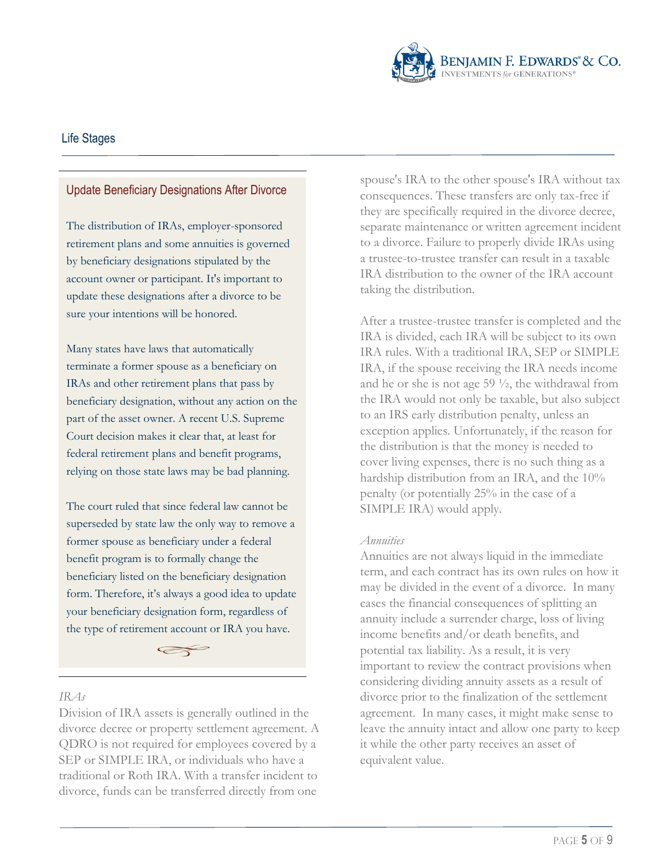

#### Update Beneficiary Designations After Divorce

The distribution of IRAs, employer-sponsored retirement plans and some annuities is governed by beneficiary designations stipulated by the account owner or participant. It's important to update these designations after a divorce to be sure your intentions will be honored.

Many states have laws that automatically terminate a former spouse as a beneficiary on IRAs and other retirement plans that pass by beneficiary designation, without any action on the part of the asset owner. A recent U.S. Supreme Court decision makes it clear that, at least for federal retirement plans and benefit programs, relying on those state laws may be bad planning.

The court ruled that since federal law cannot be superseded by state law the only way to remove a former spouse as beneficiary under a federal benefit program is to formally change the beneficiary listed on the beneficiary designation form. Therefore, it's always a good idea to update your beneficiary designation form, regardless of the type of retirement account or IRA you have.

 $\iff$ 

#### *IRAs*

Division of IRA assets is generally outlined in the divorce decree or property settlement agreement. A QDRO is not required for employees covered by a SEP or SIMPLE IRA, or individuals who have a traditional or Roth IRA. With a transfer incident to divorce, funds can be transferred directly from one

spouse's IRA to the other spouse's IRA without tax consequences. These transfers are only tax-free if they are specifically required in the divorce decree, separate maintenance or written agreement incident to a divorce. Failure to properly divide IRAs using a trustee-to-trustee transfer can result in a taxable IRA distribution to the owner of the IRA account taking the distribution.

After a trustee-trustee transfer is completed and the IRA is divided, each IRA will be subject to its own IRA rules. With a traditional IRA, SEP or SIMPLE IRA, if the spouse receiving the IRA needs income and he or she is not age 59 ½, the withdrawal from the IRA would not only be taxable, but also subject to an IRS early distribution penalty, unless an exception applies. Unfortunately, if the reason for the distribution is that the money is needed to cover living expenses, there is no such thing as a hardship distribution from an IRA, and the 10% penalty (or potentially 25% in the case of a SIMPLE IRA) would apply.

#### *Annuities*

Annuities are not always liquid in the immediate term, and each contract has its own rules on how it may be divided in the event of a divorce. In many cases the financial consequences of splitting an annuity include a surrender charge, loss of living income benefits and/or death benefits, and potential tax liability. As a result, it is very important to review the contract provisions when considering dividing annuity assets as a result of divorce prior to the finalization of the settlement agreement. In many cases, it might make sense to leave the annuity intact and allow one party to keep it while the other party receives an asset of equivalent value.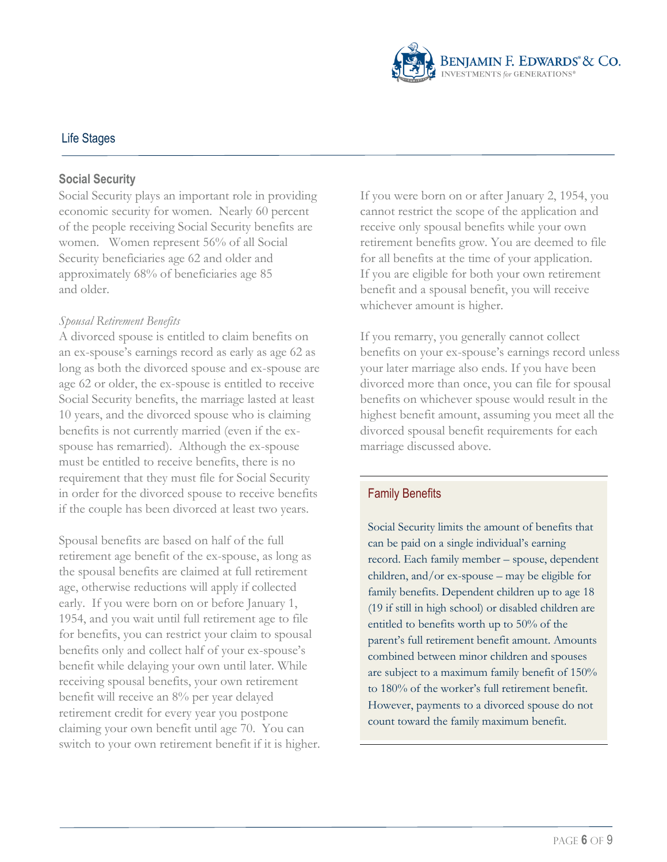

#### **Social Security**

Social Security plays an important role in providing economic security for women. Nearly 60 percent of the people receiving Social Security benefits are women. Women represent 56% of all Social Security beneficiaries age 62 and older and approximately 68% of beneficiaries age 85 and older.

#### *Spousal Retirement Benefits*

A divorced spouse is entitled to claim benefits on an ex-spouse's earnings record as early as age 62 as long as both the divorced spouse and ex-spouse are age 62 or older, the ex-spouse is entitled to receive Social Security benefits, the marriage lasted at least 10 years, and the divorced spouse who is claiming benefits is not currently married (even if the exspouse has remarried). Although the ex-spouse must be entitled to receive benefits, there is no requirement that they must file for Social Security in order for the divorced spouse to receive benefits if the couple has been divorced at least two years.

Spousal benefits are based on half of the full retirement age benefit of the ex-spouse, as long as the spousal benefits are claimed at full retirement age, otherwise reductions will apply if collected early. If you were born on or before January 1, 1954, and you wait until full retirement age to file for benefits, you can restrict your claim to spousal benefits only and collect half of your ex-spouse's benefit while delaying your own until later. While receiving spousal benefits, your own retirement benefit will receive an 8% per year delayed retirement credit for every year you postpone claiming your own benefit until age 70. You can switch to your own retirement benefit if it is higher. If you were born on or after January 2, 1954, you cannot restrict the scope of the application and receive only spousal benefits while your own retirement benefits grow. You are deemed to file for all benefits at the time of your application. If you are eligible for both your own retirement benefit and a spousal benefit, you will receive whichever amount is higher.

If you remarry, you generally cannot collect benefits on your ex-spouse's earnings record unless your later marriage also ends. If you have been divorced more than once, you can file for spousal benefits on whichever spouse would result in the highest benefit amount, assuming you meet all the divorced spousal benefit requirements for each marriage discussed above.

#### Family Benefits

Social Security limits the amount of benefits that can be paid on a single individual's earning record. Each family member – spouse, dependent children, and/or ex-spouse – may be eligible for family benefits. Dependent children up to age 18 (19 if still in high school) or disabled children are entitled to benefits worth up to 50% of the parent's full retirement benefit amount. Amounts combined between minor children and spouses are subject to a maximum family benefit of 150% to 180% of the worker's full retirement benefit. However, payments to a divorced spouse do not count toward the family maximum benefit.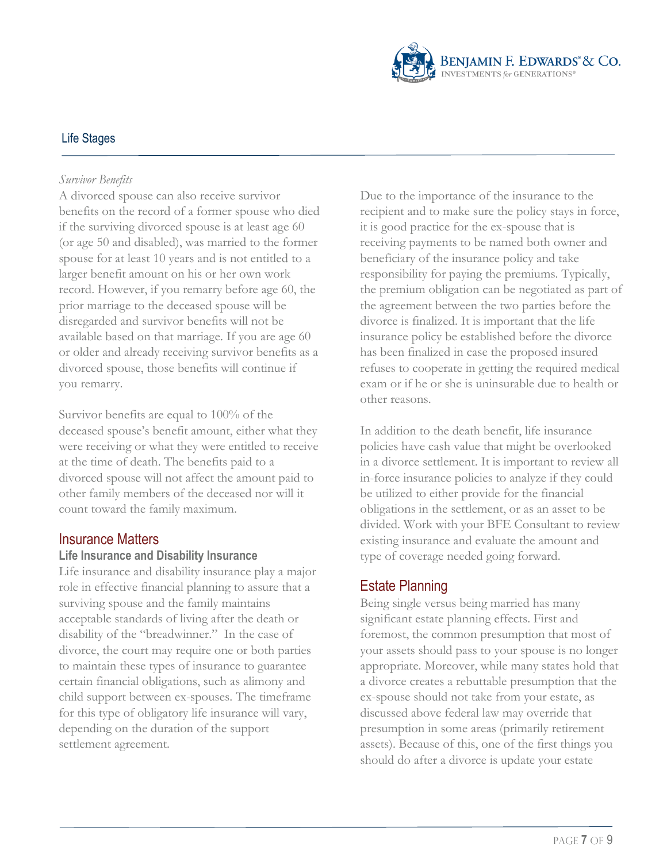

#### *Survivor Benefits*

A divorced spouse can also receive survivor benefits on the record of a former spouse who died if the surviving divorced spouse is at least age 60 (or age 50 and disabled), was married to the former spouse for at least 10 years and is not entitled to a larger benefit amount on his or her own work record. However, if you remarry before age 60, the prior marriage to the deceased spouse will be disregarded and survivor benefits will not be available based on that marriage. If you are age 60 or older and already receiving survivor benefits as a divorced spouse, those benefits will continue if you remarry.

Survivor benefits are equal to 100% of the deceased spouse's benefit amount, either what they were receiving or what they were entitled to receive at the time of death. The benefits paid to a divorced spouse will not affect the amount paid to other family members of the deceased nor will it count toward the family maximum.

#### Insurance Matters

#### **Life Insurance and Disability Insurance**

Life insurance and disability insurance play a major role in effective financial planning to assure that a surviving spouse and the family maintains acceptable standards of living after the death or disability of the "breadwinner." In the case of divorce, the court may require one or both parties to maintain these types of insurance to guarantee certain financial obligations, such as alimony and child support between ex-spouses. The timeframe for this type of obligatory life insurance will vary, depending on the duration of the support settlement agreement.

Due to the importance of the insurance to the recipient and to make sure the policy stays in force, it is good practice for the ex-spouse that is receiving payments to be named both owner and beneficiary of the insurance policy and take responsibility for paying the premiums. Typically, the premium obligation can be negotiated as part of the agreement between the two parties before the divorce is finalized. It is important that the life insurance policy be established before the divorce has been finalized in case the proposed insured refuses to cooperate in getting the required medical exam or if he or she is uninsurable due to health or other reasons.

In addition to the death benefit, life insurance policies have cash value that might be overlooked in a divorce settlement. It is important to review all in-force insurance policies to analyze if they could be utilized to either provide for the financial obligations in the settlement, or as an asset to be divided. Work with your BFE Consultant to review existing insurance and evaluate the amount and type of coverage needed going forward.

### Estate Planning

Being single versus being married has many significant estate planning effects. First and foremost, the common presumption that most of your assets should pass to your spouse is no longer appropriate. Moreover, while many states hold that a divorce creates a rebuttable presumption that the ex-spouse should not take from your estate, as discussed above federal law may override that presumption in some areas (primarily retirement assets). Because of this, one of the first things you should do after a divorce is update your estate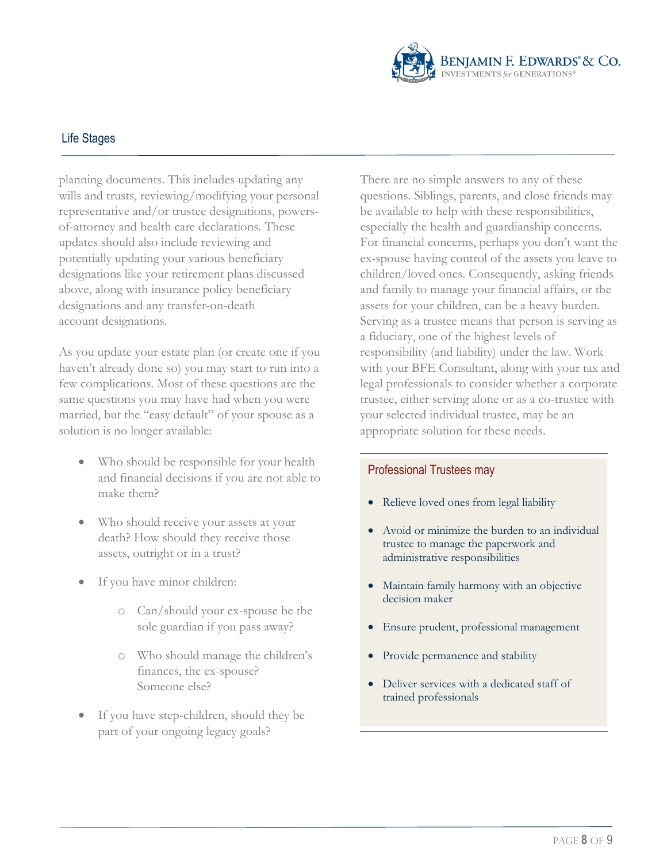

planning documents. This includes updating any wills and trusts, reviewing/modifying your personal representative and/or trustee designations, powersof-attorney and health care declarations. These updates should also include reviewing and potentially updating your various beneficiary designations like your retirement plans discussed above, along with insurance policy beneficiary designations and any transfer-on-death account designations.

As you update your estate plan (or create one if you haven't already done so) you may start to run into a few complications. Most of these questions are the same questions you may have had when you were married, but the "easy default" of your spouse as a solution is no longer available:

- Who should be responsible for your health and financial decisions if you are not able to make them?
- Who should receive your assets at your death? How should they receive those assets, outright or in a trust?
- If you have minor children:
	- o Can/should your ex-spouse be the sole guardian if you pass away?
	- o Who should manage the children's finances, the ex-spouse? Someone else?
- If you have step-children, should they be part of your ongoing legacy goals?

There are no simple answers to any of these questions. Siblings, parents, and close friends may be available to help with these responsibilities, especially the health and guardianship concerns. For financial concerns, perhaps you don't want the ex-spouse having control of the assets you leave to children/loved ones. Consequently, asking friends and family to manage your financial affairs, or the assets for your children, can be a heavy burden. Serving as a trustee means that person is serving as a fiduciary, one of the highest levels of responsibility (and liability) under the law. Work with your BFE Consultant, along with your tax and legal professionals to consider whether a corporate trustee, either serving alone or as a co-trustee with your selected individual trustee, may be an appropriate solution for these needs.

#### Professional Trustees may

- Relieve loved ones from legal liability
- Avoid or minimize the burden to an individual trustee to manage the paperwork and administrative responsibilities
- Maintain family harmony with an objective decision maker
- Ensure prudent, professional management
- Provide permanence and stability
- Deliver services with a dedicated staff of trained professionals